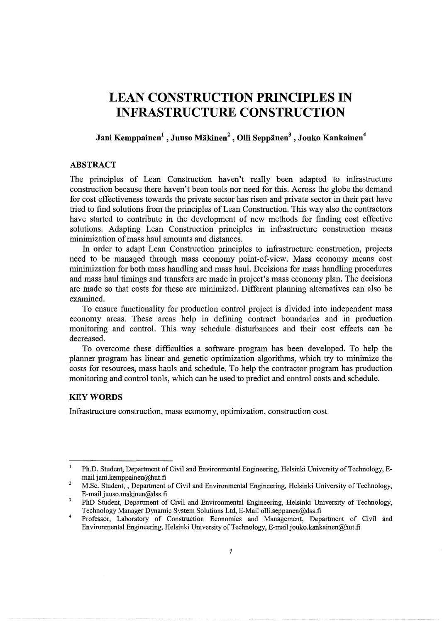# **LEAN CONSTRUCTION PRINCIPLES IN INFRASTRUCTURE CONSTRUCTION**

# Jani Kemppainen<sup>1</sup>, Juuso Mäkinen<sup>2</sup>, Olli Seppänen<sup>3</sup>, Jouko Kankainen<sup>4</sup>

### **ABSTRACT**

The principles of Lean Construction haven't really been adapted to infrastructure construction because there haven't been tools nor need for this. Across the globe the demand for cost effectiveness towards the private sector has risen and private sector in their part have tried to find solutions from the principles of Lean Construction. This way also the contractors have started to contribute in the development of new methods for finding cost effective solutions. Adapting Lean Construction principles in infrastructure construction means minimization of mass haul amounts and distances.

In order to adapt Lean Construction principles to infrastructure construction, projects need to be managed through mass economy point-of-view. Mass economy means cost minimization for both mass handling and mass haul. Decisions for mass handling procedures and mass haul timings and transfers are made in project's mass economy plan. The decisions are made so that costs for these are minimized. Different planning alternatives can also be examined.

To ensure functionality for production control project is divided into independent mass economy areas. These areas help in defining contract boundaries and in production monitoring and control. This way schedule disturbances and their cost effects can be decreased.

To overcome these difficulties a software program has been developed. To help the planner program has linear and genetic optimization algorithms, which try to minimize the costs for resources, mass hauls and schedule. To help the contractor program has production monitoring and control tools, which can be used to predict and control costs and schedule.

## **KEYWORDS**

Infrastructure construction, mass economy, optimization, construction cost

 $\mathbf{1}$ Ph.D. Student, Department of Civil and Environmental Engineering, Helsinki University of Technology, Email jani.kemppainen@hut.fi

 $\overline{2}$ M.Sc. Student, , Department of Civil and Environmental Engineering, Helsinki University of Technology, E-mail juuso.makinen@dss.fi

 $\overline{\mathbf{3}}$ PhD Student, Department of Civil and Environmental Engineering, Helsinki University of Technology, Technology Manager Dynamic System Solutions Ltd, E-Mail olli.seppanen@dss.fi

<sup>4</sup>  Professor, Laboratory of Construction Economics and Management, Department of Civil and Environmental Engineering, Helsinki University of Technology, E-mail jouko.kankainen@hut.fi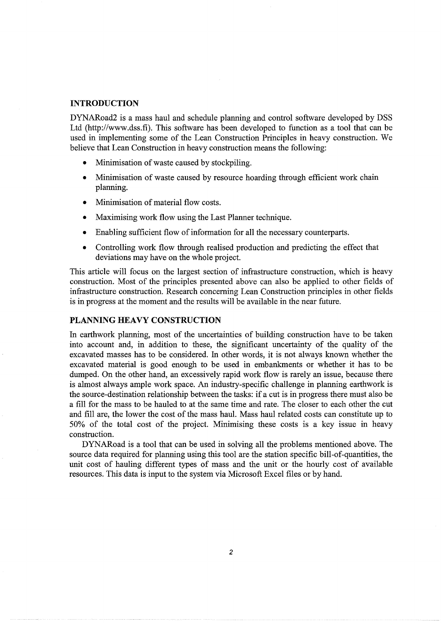#### **INTRODUCTION**

DYNARoad2 is a mass haul and schedule planning and control software developed by DSS Ltd (http://www.dss.fi). This software has been developed to function as a tool that can be used in implementing some of the Lean Construction Principles in heavy construction. We believe that Lean Construction in heavy construction means the following:

- Minimisation of waste caused by stockpiling.
- Minimisation of waste caused by resource hoarding through efficient work chain planning.
- Minimisation of material flow costs.
- Maximising work flow using the Last Planner technique.
- Enabling sufficient flow of information for all the necessary counterparts.
- Controlling work flow through realised production and predicting the effect that deviations may have on the whole project.

This article will focus on the largest section of infrastructure construction, which is heavy construction. Most of the principles presented above can also be applied to other fields of infrastructure construction. Research concerning Lean Construction principles in other fields is in progress at the moment and the results will be available in the near future.

## **PLANNING HEAVY CONSTRUCTION**

In earthwork planning, most of the uncertainties of building construction have to be taken into account and, in addition to these, the significant uncertainty of the quality of the excavated masses has to be considered. In other words, it is not always known whether the excavated material is good enough to be used in embankments or whether it has to be dumped. On the other hand, an excessively rapid work flow is rarely an issue, because there is almost always ample work space. An industry-specific challenge in planning earthwork is the source-destination relationship between the tasks: if a cut is in progress there must also be a fill for the mass to be hauled to at the same time and rate. The closer to each other the cut and fill are, the lower the cost of the mass haul. Mass haul related costs can constitute up to 50% of the total cost of the project. Minimising these costs is a key issue in heavy construction.

DYNARoad is a tool that can be used in solving all the problems mentioned above. The source data required for planning using this tool are the station specific bill-of-quantities, the unit cost of hauling different types of mass and the unit or the hourly cost of available resources. This data is input to the system via Microsoft Excel files or by hand.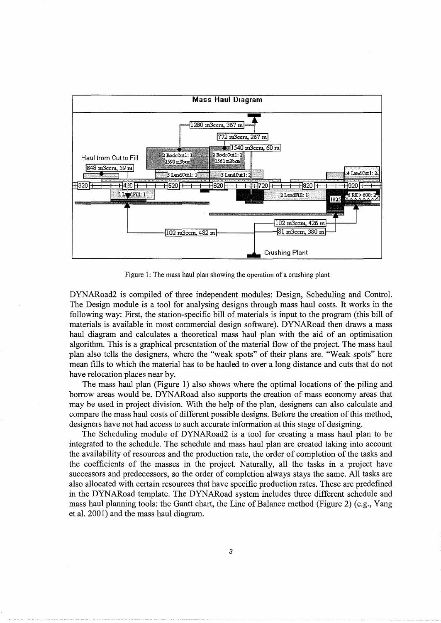

Figure 1: The mass haul plan showing the operation of a crushing plant

DYNARoad2 is compiled of three independent modules: Design, Scheduling and Control. The Design module is a tool for analysing designs through mass haul costs. It works in the following way: First, the station-specific bill of materials is input to the program (this bill of materials is available in most commercial design software). DYNARoad then draws a mass haul diagram and calculates a theoretical mass haul plan with the aid of an optimisation algorithm. This is a graphical presentation of the material flow of the project. The mass haul plan also tells the designers, where the "weak spots" of their plans are. "Weak spots" here mean fills to which the material has to be hauled to over a long distance and cuts that do not have relocation places near by.

The mass haul plan (Figure 1) also shows where the optimal locations of the piling and borrow areas would be. DYNARoad also supports the creation of mass economy areas that may be used in project division. With the help of the plan, designers can also calculate and compare the mass haul costs of different possible designs. Before the creation of this method, designers have not had access to such accurate information at this stage of designing.

The Scheduling module of DYNARoad2 is a tool for creating a mass haul plan to be integrated to the schedule. The schedule and mass haul plan are created taking into account the availability of resources and the production rate, the order of completion of the tasks and the coefficients of the masses in the project. Naturally, all the tasks in a project have successors and predecessors, so the order of completion always stays the same. All tasks are also allocated with certain resources that have specific production rates. These are predefined in the DYNARoad template. The DYNARoad system includes three different schedule and mass haul planning tools: the Gantt chart, the Line of Balance method (Figure 2) (e.g., Yang et al. 2001) and the mass haul diagram.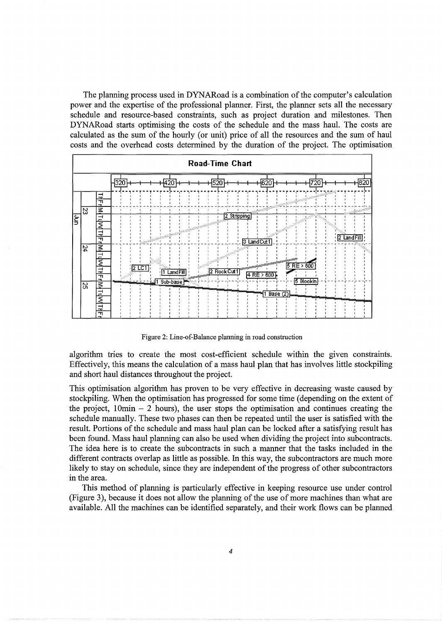The planning process used in DYNARoad is a combination of the computer's calculation power and the expertise of the professional planner. First, the planner sets all the necessary schedule and resource-based constraints, such as project duration and milestones. Then DYNARoad starts optimising the costs of the schedule and the mass haul. The costs are calculated as the sum of the hourly (or unit) price of all the resources and the sum of haul costs and the overhead costs determined by the duration of the project. The optimisation



Figure 2: Line-of-Balance planning in road construction

algorithm tries to create the most cost-efficient schedule within the given constraints. Effectively, this means the calculation of a mass haul plan that has involves little stockpiling and short haul distances throughout the project.

This optimisation algorithm has proven to be very effective in decreasing waste caused by stockpiling. When the optimisation has progressed for some time (depending on the extent of the project,  $10\text{min} - 2$  hours), the user stops the optimisation and continues creating the schedule manually. These two phases can then be repeated until the user is satisfied with the result. Portions of the schedule and mass haul plan can be locked after a satisfying result has been found. Mass haul planning can also be used when dividing the project into subcontracts. The idea here is to create the subcontracts in such a manner that the tasks included in the different contracts overlap as little as possible. In this way, the subcontractors are much more likely to stay on schedule, since they are independent of the progress of other subcontractors in the area.

This method of planning is particularly effective in keeping resource use under control (Figure 3), because it does not allow the planning of the use of more machines than what are available. All the machines can be identified separately, and their work flows can be planned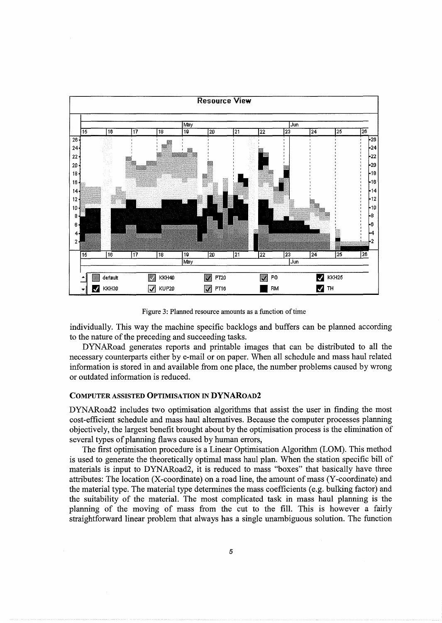

Figure 3: Planned resource amounts as a function of time

individually. This way the machine specific backlogs and buffers can be planned according to the nature of the preceding and succeeding tasks.

DYNARoad generates reports and printable images that can be distributed to all the necessary counterparts either by e-mail or on paper. When all schedule and mass haul related information is stored in and available from one place, the number problems caused by wrong or outdated information is reduced.

### COMPUTER ASSISTED OPTIMISATION IN DYNAROAD2

DYNARoad2 includes two optimisation algorithms that assist the user in finding the most cost-efficient schedule and mass haul alternatives. Because the computer processes planning objectively, the largest benefit brought about by the optimisation process is the elimination of several types of planning flaws caused by human errors,

The first optimisation procedure is a Linear Optimisation Algorithm (LOM). This method is used to generate the theoretically optimal mass haul plan. When the station specific bill of materials is input to DYNARoad2, it is reduced to mass "boxes" that basically have three attributes: The location (X-coordinate) on a road line, the amount of mass (Y-coordinate) and the material type. The material type determines the mass coefficients (e.g. bulking factor) and the suitability of the material. The most complicated task in mass haul planning is the planning of the moving of mass from the cut to the fill. This is however a fairly straightforward linear problem that always has a single unambiguous solution. The function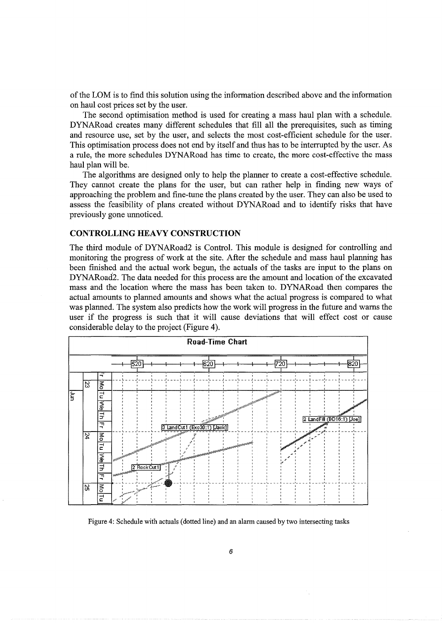of the LOM is to find this solution using the information described above and the information on haul cost prices set by the user.

The second optimisation method is used for creating a mass haul plan with a schedule. DYNARoad creates many different schedules that fill all the prerequisites, such as timing and resource use, set by the user, and selects the most cost-efficient schedule for the user. This optimisation process does not end by itself and thus has to be interrupted by the user. As a rule, the more schedules DYNARoad has time to create, the more cost-effective the mass haul plan will be.

The algorithms are designed only to help the planner to create a cost-effective schedule. They cannot create the plans for the user, but can rather help in finding new ways of approaching the problem and fine-tune the plans created by the user. They can also be used to assess the feasibility of plans created without DYNARoad and to identify risks that have previously gone unnoticed.

#### **CONTROLLING HEAVY CONSTRUCTION**

The third module of DYNARoad2 is Control. This module is designed for controlling and monitoring the progress of work at the site. After the schedule and mass haul planning has been finished and the actual work begun, the actuals of the tasks are input to the plans on DYNARoad2. The data needed for this process are the amount and location of the excavated mass and the location where the mass has been taken to. DYNARoad then compares the actual amounts to planned amounts and shows what the actual progress is compared to what was planned. The system also predicts how the work will progress in the future and warns the user if the progress is such that it will cause deviations that will effect cost or cause considerable delay to the project (Figure 4).



Figure 4: Schedule with actuals (dotted line) and an alarm caused by two intersecting tasks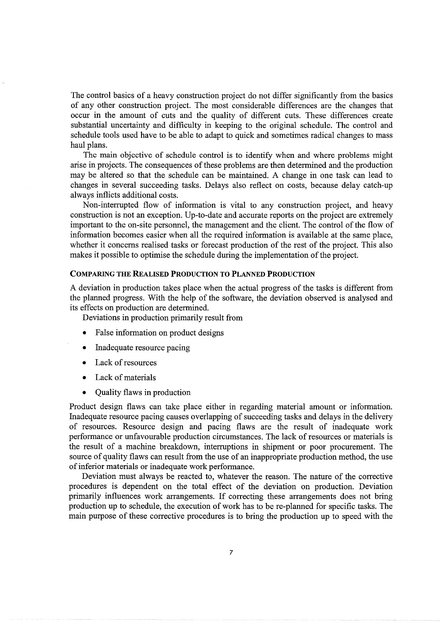The control basics of a heavy construction project do not differ significantly from the basics of any other construction project. The most considerable differences are the changes that occur in the amount of cuts and the quality of different cuts. These differences create substantial uncertainty and difficulty in keeping to the original schedule. The control and schedule tools used have to be able to adapt to quick and sometimes radical changes to mass haul plans.

The main objective of schedule control is to identify when and where problems might arise in projects. The consequences of these problems are then determined and the production may be altered so that the schedule can be maintained. A change in one task can lead to changes in several succeeding tasks. Delays also reflect on costs, because delay catch-up always inflicts additional costs.

Non-interrupted flow of information is vital to any construction project, and heavy construction is not an exception. Up-to-date and accurate reports on the project are extremely important to the on-site personnel, the management and the client. The control of the flow of information becomes easier when all the required information is available at the same place, whether it concerns realised tasks or forecast production of the rest of the project. This also makes it possible to optimise the schedule during the implementation of the project.

#### COMPARING THE REALISED PRODUCTION TO PLANNED PRODUCTION

A deviation in production takes place when the actual progress of the tasks is different from the planned progress. With the help of the software, the deviation observed is analysed and its effects on production are determined.

Deviations in production primarily result from

- False information on product designs
- Inadequate resource pacing
- Lack of resources
- Lack of materials
- Quality flaws in production

Product design flaws can take place either in regarding material amount or information. Inadequate resource pacing causes overlapping of succeeding tasks and delays in the delivery of resources. Resource design and pacing flaws are the result of inadequate work performance or unfavourable production circumstances. The lack of resources or materials is the result of a machine breakdown, interruptions in shipment or poor procurement. The source of quality flaws can result from the use of an inappropriate production method, the use of inferior materials or inadequate work performance.

Deviation must always be reacted to, whatever the reason. The nature of the corrective procedures is dependent on the total effect of the deviation on production. Deviation primarily influences work arrangements. If correcting these arrangements does not bring production up to schedule, the execution of work has to be re-planned for specific tasks. The main purpose of these corrective procedures is to bring the production up to speed with the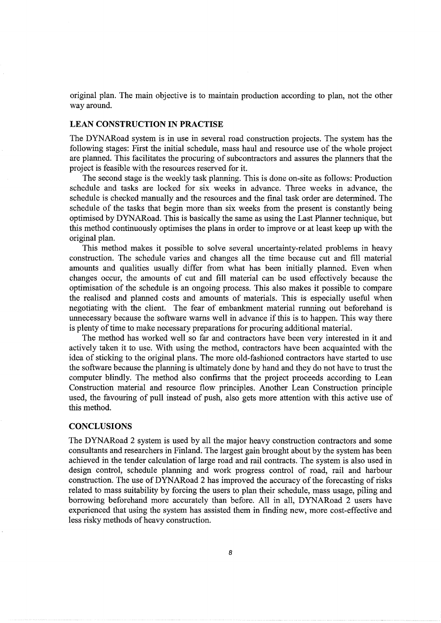original plan. The main objective is to maintain production according to plan, not the other way around.

#### **LEAN CONSTRUCTION IN PRACTISE**

The DYNARoad system is in use in several road construction projects. The system has the following stages: First the initial schedule, mass haul and resource use of the whole project are planned. This facilitates the procuring of subcontractors and assures the planners that the project is feasible with the resources reserved for it.

The second stage is the weekly task planning. This is done on-site as follows: Production schedule and tasks are locked for six weeks in advance. Three weeks in advance, the schedule is checked manually and the resources and the final task order are determined. The schedule of the tasks that begin more than six weeks from the present is constantly being optimised by DYNARoad. This is basically the same as using the Last Planner technique, but this method continuously optimises the plans in order to improve or at least keep up with the original plan.

This method makes it possible to solve several uncertainty-related problems in heavy construction. The schedule varies and changes all the time because cut and fill material amounts and qualities usually differ from what has been initially planned. Even when changes occur, the amounts of cut and fill material can be used effectively because the optimisation of the schedule is an ongoing process. This also makes it possible to compare the realised and planned costs and amounts of materials. This is especially useful when negotiating with the client. The fear of embankment material running out beforehand is unnecessary because the software warns well in advance if this is to happen. This way there is plenty of time to make necessary preparations for procuring additional material.

The method has worked well so far and contractors have been very interested in it and actively taken it to use. With using the method, contractors have been acquainted with the idea of sticking to the original plans. The more old-fashioned contractors have started to use the software because the planning is ultimately done by hand and they do not have to trust the computer blindly. The method also confirms that the project proceeds according to Lean Construction material and resource flow principles. Another Lean Construction principle used, the favouring of pull instead of push, also gets more attention with this active use of this method.

#### **CONCLUSIONS**

The DYNARoad 2 system is used by all the major heavy construction contractors and some consultants and researchers in Finland. The largest gain brought about by the system has been achieved in the tender calculation of large road and rail contracts. The system is also used in design control, schedule planning and work progress control of road, rail and harbour construction. The use of DYNARoad 2 has improved the accuracy of the forecasting of risks related to mass suitability by forcing the users to plan their schedule, mass usage, piling and borrowing beforehand more accurately than before. All in all, DYNARoad 2 users have experienced that using the system has assisted them in finding new, more cost-effective and less risky methods of heavy construction.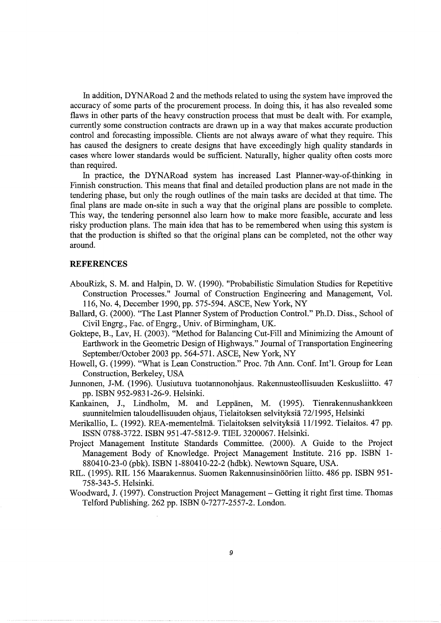In addition, DYNARoad 2 and the methods related to using the system have improved the accuracy of some parts of the procurement process. In doing this, it has also revealed some flaws in other parts of the heavy construction process that must be dealt with. For example, currently some construction contracts are drawn up in a way that makes accurate production control and forecasting impossible. Clients are not always aware of what they require. This has caused the designers to create designs that have exceedingly high quality standards in cases where lower standards would be sufficient. Naturally, higher quality often costs more than required.

In practice, the DYNARoad system has increased Last Planner-way-of-thinking in Finnish construction. This means that final and detailed production plans are not made in the tendering phase, but only the rough outlines of the main tasks are decided at that time. The final plans are made on-site in such a way that the original plans are possible to complete. This way, the tendering personnel also learn how to make more feasible, accurate and less risky production plans. The main idea that has to be remembered when using this system is that the production is shifted so that the original plans can be completed, not the other way around.

#### **REFERENCES**

- AbouRizk, S.M. and Halpin, D. W. (1990). "Probabilistic Simulation Studies for Repetitive Construction Processes." Journal of Construction Engineering and Management, Vol. 116, No.4, December 1990, pp. 575-594. ASCE, New York, NY
- Ballard, G. (2000). "The Last Planner System of Production Control." Ph.D. Diss., School of Civil Engrg., Fac. of Engrg., Univ. of Birmingham, UK.
- Goktepe, B., Lav, H. (2003). "Method for Balancing Cut-Fill and Minimizing the Amount of Earthwork in the Geometric Design of Highways." Journal of Transportation Engineering September/October 2003 pp. 564-571. ASCE, New York, NY
- Howell, G. (1999). "What is Lean Construction." Proc. 7th Ann. Conf. Int'l. Group for Lean Construction, Berkeley, USA
- Junnonen, J-M. (1996). Uusiutuva tuotannonohjaus. Rakennusteollisuuden Keskusliitto. 47 pp. ISBN 952-9831-26-9. Helsinki.
- Kankainen, J., Lindholm, M. and Leppanen, M. (1995). Tienrakennushankkeen suunnitelmien taloudellisuuden ohjaus, Tielaitoksen selvityksiä 72/1995, Helsinki
- Merikallio, L. (1992). REA-mementelmä. Tielaitoksen selvityksiä 11/1992. Tielaitos. 47 pp. ISSN 0788-3722. ISBN 951-47-5812-9. TIEL 3200067. Helsinki.
- Project Management Institute Standards Committee. (2000). A Guide to the Project Management Body of Knowledge. Project Management Institute. 216 pp. ISBN 1- 880410-23-0 (pbk). ISBN 1-880410-22-2 (hdbk). Newtown Square, USA.
- RIL. (1995). RIL 156 Maarakennus. Suomen Rakennusinsinöörien liitto. 486 pp. ISBN 951-758-343-5. Helsinki.
- Woodward, J. (1997). Construction Project Management Getting it right first time. Thomas Telford Publishing. 262 pp. ISBN 0-7277-2557-2. London.